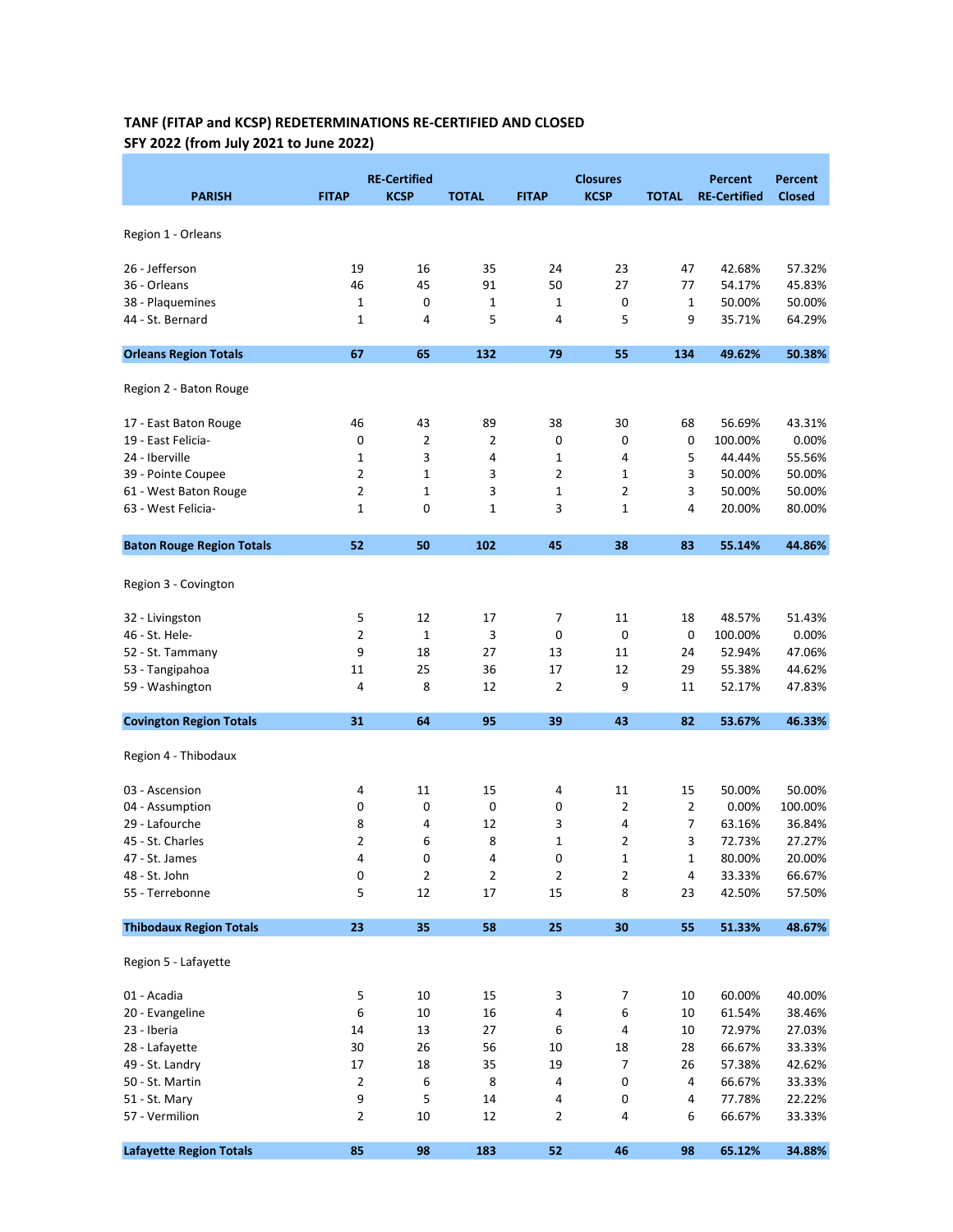## TANF (FITAP and KCSP) REDETERMINATIONS RE-CERTIFIED AND CLOSED SFY 2022 (from July 2021 to June 2022)

| <b>PARISH</b>                    | <b>FITAP</b>   | <b>RE-Certified</b><br><b>KCSP</b> | <b>TOTAL</b>   | <b>FITAP</b>   | <b>Closures</b><br><b>KCSP</b> | <b>TOTAL</b> | <b>Percent</b><br><b>RE-Certified</b> | <b>Percent</b><br><b>Closed</b> |
|----------------------------------|----------------|------------------------------------|----------------|----------------|--------------------------------|--------------|---------------------------------------|---------------------------------|
| Region 1 - Orleans               |                |                                    |                |                |                                |              |                                       |                                 |
| 26 - Jefferson                   | 19             | 16                                 | 35             | 24             | 23                             | 47           | 42.68%                                | 57.32%                          |
| 36 - Orleans                     | 46             | 45                                 | 91             | 50             | 27                             | 77           | 54.17%                                | 45.83%                          |
| 38 - Plaquemines                 | $\mathbf 1$    | 0                                  | 1              | 1              | 0                              | 1            | 50.00%                                | 50.00%                          |
| 44 - St. Bernard                 | 1              | 4                                  | 5              | 4              | 5                              | 9            | 35.71%                                | 64.29%                          |
| <b>Orleans Region Totals</b>     | 67             | 65                                 | 132            | 79             | 55                             | 134          | 49.62%                                | 50.38%                          |
| Region 2 - Baton Rouge           |                |                                    |                |                |                                |              |                                       |                                 |
| 17 - East Baton Rouge            | 46             | 43                                 | 89             | 38             | 30                             | 68           | 56.69%                                | 43.31%                          |
| 19 - East Felicia-               | 0              | $\overline{2}$                     | $\overline{2}$ | 0              | 0                              | 0            | 100.00%                               | 0.00%                           |
| 24 - Iberville                   | 1              | 3                                  | 4              | $\mathbf 1$    | 4                              | 5            | 44.44%                                | 55.56%                          |
| 39 - Pointe Coupee               | 2              | 1                                  | 3              | 2              | 1                              | 3            | 50.00%                                | 50.00%                          |
| 61 - West Baton Rouge            | 2              | 1                                  | 3              | 1              | 2                              | 3            | 50.00%                                | 50.00%                          |
| 63 - West Felicia-               | 1              | 0                                  | $\mathbf{1}$   | 3              | $\mathbf{1}$                   | 4            | 20.00%                                | 80.00%                          |
| <b>Baton Rouge Region Totals</b> | 52             | 50                                 | 102            | 45             | 38                             | 83           | 55.14%                                | 44.86%                          |
| Region 3 - Covington             |                |                                    |                |                |                                |              |                                       |                                 |
| 32 - Livingston                  | 5              | 12                                 | 17             | 7              | 11                             | 18           | 48.57%                                | 51.43%                          |
| 46 - St. Hele-                   | 2              | $\mathbf{1}$                       | 3              | 0              | 0                              | 0            | 100.00%                               | 0.00%                           |
| 52 - St. Tammany                 | 9              | 18                                 | 27             | 13             | 11                             | 24           | 52.94%                                | 47.06%                          |
| 53 - Tangipahoa                  | 11             | 25                                 | 36             | 17             | 12                             | 29           | 55.38%                                | 44.62%                          |
| 59 - Washington                  | 4              | 8                                  | 12             | 2              | 9                              | 11           | 52.17%                                | 47.83%                          |
| <b>Covington Region Totals</b>   | 31             | 64                                 | 95             | 39             | 43                             | 82           | 53.67%                                | 46.33%                          |
| Region 4 - Thibodaux             |                |                                    |                |                |                                |              |                                       |                                 |
| 03 - Ascension                   | 4              | 11                                 | 15             | 4              | 11                             | 15           | 50.00%                                | 50.00%                          |
| 04 - Assumption                  | 0              | 0                                  | 0              | 0              | 2                              | 2            | 0.00%                                 | 100.00%                         |
| 29 - Lafourche                   | 8              | 4                                  | 12             | 3              | 4                              | 7            | 63.16%                                | 36.84%                          |
| 45 - St. Charles                 | $\overline{2}$ | 6                                  | 8              | $\mathbf 1$    | $\overline{2}$                 | 3            | 72.73%                                | 27.27%                          |
| 47 - St. James                   | 4              | 0                                  | 4              | 0              | 1                              | 1            | 80.00%                                | 20.00%                          |
| 48 - St. John                    | 0              | $\overline{2}$                     | $\overline{2}$ | $\overline{2}$ | 2                              | 4            | 33.33%                                | 66.67%                          |
| 55 - Terrebonne                  | 5              | 12                                 | 17             | 15             | 8                              | 23           | 42.50%                                | 57.50%                          |
| <b>Thibodaux Region Totals</b>   | 23             | 35                                 | 58             | 25             | 30                             | 55           | 51.33%                                | 48.67%                          |
| Region 5 - Lafayette             |                |                                    |                |                |                                |              |                                       |                                 |
| 01 - Acadia                      | 5              | $10\,$                             | 15             | 3              | 7                              | 10           | 60.00%                                | 40.00%                          |
| 20 - Evangeline                  | 6              | 10                                 | 16             | 4              | 6                              | 10           | 61.54%                                | 38.46%                          |
| 23 - Iberia                      | 14             | 13                                 | 27             | 6              | 4                              | 10           | 72.97%                                | 27.03%                          |
| 28 - Lafayette                   | 30             | 26                                 | 56             | 10             | 18                             | 28           | 66.67%                                | 33.33%                          |
| 49 - St. Landry                  | 17             | 18                                 | 35             | 19             | $\boldsymbol{7}$               | 26           | 57.38%                                | 42.62%                          |
| 50 - St. Martin                  | 2              | 6                                  | 8              | 4              | 0                              | 4            | 66.67%                                | 33.33%                          |
|                                  | 9              |                                    | 14             |                |                                |              |                                       |                                 |
| 51 - St. Mary<br>57 - Vermilion  | 2              | 5<br>10                            | 12             | 4<br>2         | 0<br>4                         | 4<br>6       | 77.78%<br>66.67%                      | 22.22%<br>33.33%                |
|                                  |                |                                    |                |                |                                |              |                                       |                                 |
| <b>Lafayette Region Totals</b>   | 85             | 98                                 | 183            | 52             | 46                             | 98           | 65.12%                                | 34.88%                          |